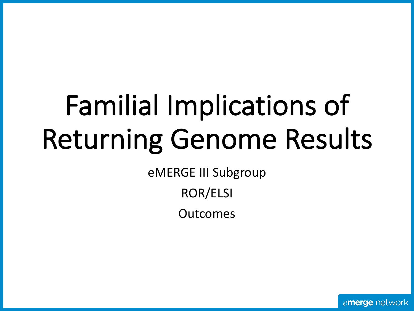# Familial Implications of Returning Genome Results

eMERGE III Subgroup

ROR/ELSI

Outcomes

emerge network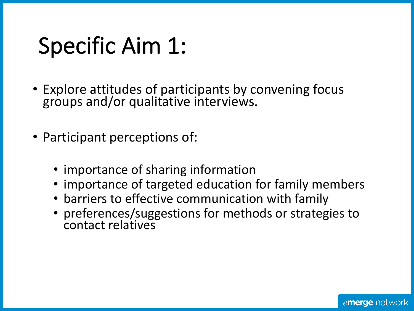### Specific Aim 1:

- Explore attitudes of participants by convening focus groups and/or qualitative interviews.
- Participant perceptions of:
	- importance of sharing information
	- importance of targeted education for family members
	- barriers to effective communication with family
	- preferences/suggestions for methods or strategies to contact relatives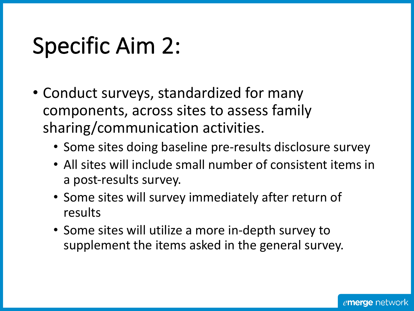### Specific Aim 2:

- Conduct surveys, standardized for many components, across sites to assess family sharing/communication activities.
	- Some sites doing baseline pre-results disclosure survey
	- All sites will include small number of consistent items in a post-results survey.
	- Some sites will survey immediately after return of results
	- Some sites will utilize a more in-depth survey to supplement the items asked in the general survey.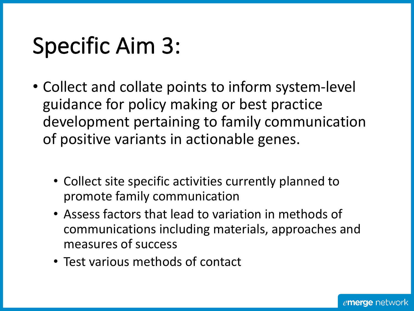### Specific Aim 3:

- Collect and collate points to inform system-level guidance for policy making or best practice development pertaining to family communication of positive variants in actionable genes.
	- Collect site specific activities currently planned to promote family communication
	- Assess factors that lead to variation in methods of communications including materials, approaches and measures of success
	- Test various methods of contact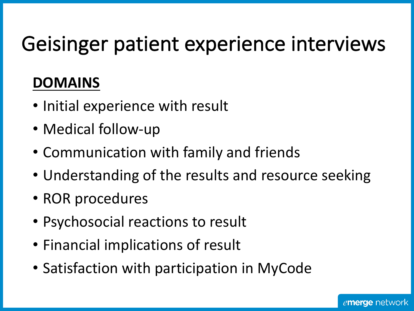#### Geisinger patient experience interviews

#### **DOMAINS**

- Initial experience with result
- Medical follow-up
- Communication with family and friends
- Understanding of the results and resource seeking
- ROR procedures
- Psychosocial reactions to result
- Financial implications of result
- Satisfaction with participation in MyCode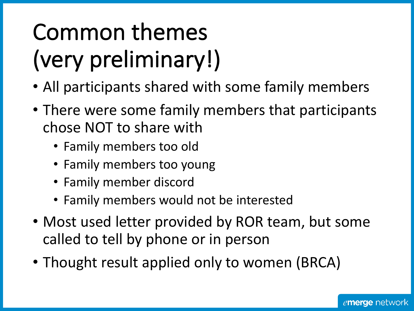## Common themes (very preliminary!)

- All participants shared with some family members
- There were some family members that participants chose NOT to share with
	- Family members too old
	- Family members too young
	- Family member discord
	- Family members would not be interested
- Most used letter provided by ROR team, but some called to tell by phone or in person
- Thought result applied only to women (BRCA)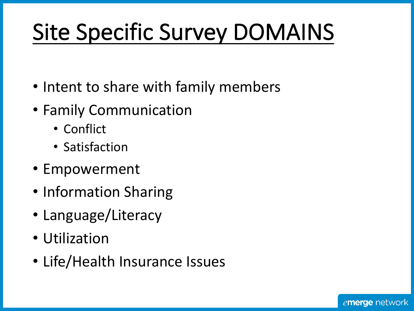## Site Specific Survey DOMAINS

- Intent to share with family members
- Family Communication
	- Conflict
	- Satisfaction
- Empowerment
- Information Sharing
- Language/Literacy
- Utilization
- Life/Health Insurance Issues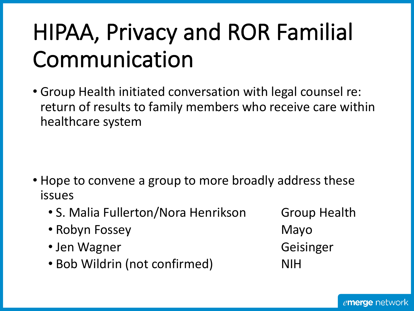## HIPAA, Privacy and ROR Familial Communication

• Group Health initiated conversation with legal counsel re: return of results to family members who receive care within healthcare system

- Hope to convene a group to more broadly address these issues
	- S. Malia Fullerton/Nora Henrikson Group Health
	- Robyn Fossey **Mayo**
	- Jen Wagner **Geisinger**
	- Bob Wildrin (not confirmed) NIH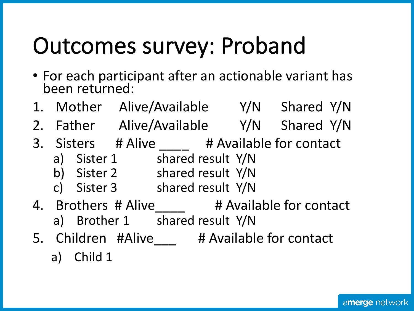## Outcomes survey: Proband

- For each participant after an actionable variant has been returned:
- 1. Mother Alive/Available Y/N Shared Y/N
- 2. Father Alive/Available Y/N Shared Y/N
- 3. Sisters # Alive # Available for contact
	- a) Sister 1 shared result Y/N
	- b) Sister 2 shared result Y/N
	- c) Sister 3 shared result Y/N
- 4. Brothers # Alive # Available for contact a) Brother 1 shared result Y/N
- 5. Children #Alive # Available for contact

a) Child 1